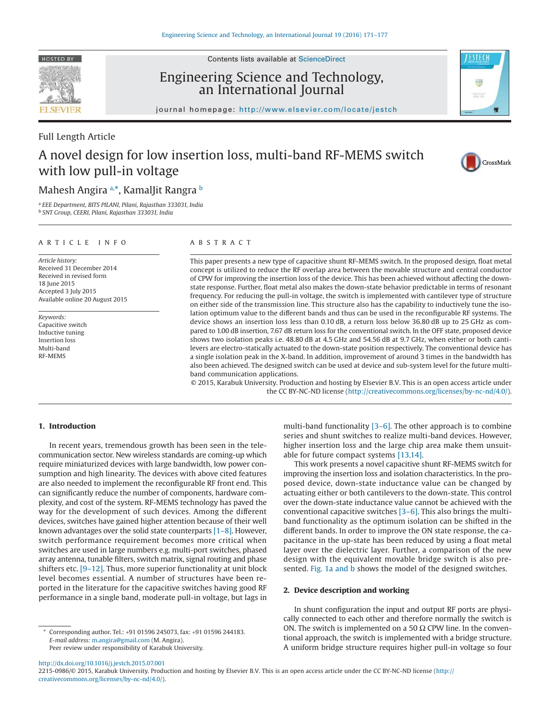Contents lists available at ScienceDirect

# Engineering Science and Technology, an International Journal

journal homepage: http://www.elsevier.com/locate/jestch

# Full Length Article

# A novel design for low insertion loss, multi-band RF-MEMS switch with low pull-in voltage

# Mahesh Angira <sup>a,\*</sup>, KamalJit Rangra <sup>b</sup>

<sup>a</sup> *EEE Department, BITS PILANI, Pilani, Rajasthan 333031, India* <sup>b</sup> *SNT Group, CEERI, Pilani, Rajasthan 333031, India*

#### ARTICLE INFO

*Article history:* Received 31 December 2014 Received in revised form 18 June 2015 Accepted 3 July 2015 Available online 20 August 2015

*Keywords:* Capacitive switch Inductive tuning Insertion loss Multi-band RF-MEMS

#### ABSTRACT

This paper presents a new type of capacitive shunt RF-MEMS switch. In the proposed design, float metal concept is utilized to reduce the RF overlap area between the movable structure and central conductor of CPW for improving the insertion loss of the device. This has been achieved without affecting the downstate response. Further, float metal also makes the down-state behavior predictable in terms of resonant frequency. For reducing the pull-in voltage, the switch is implemented with cantilever type of structure on either side of the transmission line. This structure also has the capability to inductively tune the isolation optimum value to the different bands and thus can be used in the reconfigurable RF systems. The device shows an insertion loss less than 0.10 dB, a return loss below 36.80 dB up to 25 GHz as compared to 1.00 dB insertion, 7.67 dB return loss for the conventional switch. In the OFF state, proposed device shows two isolation peaks i.e. 48.80 dB at 4.5 GHz and 54.56 dB at 9.7 GHz, when either or both cantilevers are electro-statically actuated to the down-state position respectively. The conventional device has a single isolation peak in the X-band. In addition, improvement of around 3 times in the bandwidth has also been achieved. The designed switch can be used at device and sub-system level for the future multiband communication applications.

© 2015, Karabuk University. Production and hosting by Elsevier B.V. This is an open access article under the CC BY-NC-ND license (http://creativecommons.org/licenses/by-nc-nd/4.0/).

#### **1. Introduction**

In recent years, tremendous growth has been seen in the telecommunication sector. New wireless standards are coming-up which require miniaturized devices with large bandwidth, low power consumption and high linearity. The devices with above cited features are also needed to implement the reconfigurable RF front end. This can significantly reduce the number of components, hardware complexity, and cost of the system. RF-MEMS technology has paved the way for the development of such devices. Among the different devices, switches have gained higher attention because of their well known advantages over the solid state counterparts [1–8]. However, switch performance requirement becomes more critical when switches are used in large numbers e.g. multi-port switches, phased array antenna, tunable filters, switch matrix, signal routing and phase shifters etc. [9–12]. Thus, more superior functionality at unit block level becomes essential. A number of structures have been reported in the literature for the capacitive switches having good RF performance in a single band, moderate pull-in voltage, but lags in

Corresponding author. Tel.: +91 01596 245073, fax: +91 01596 244183. *E-mail address:* m.angira@gmail.com (M. Angira). Peer review under responsibility of Karabuk University.

multi-band functionality [3–6]. The other approach is to combine series and shunt switches to realize multi-band devices. However, higher insertion loss and the large chip area make them unsuitable for future compact systems [13,14].

This work presents a novel capacitive shunt RF-MEMS switch for improving the insertion loss and isolation characteristics. In the proposed device, down-state inductance value can be changed by actuating either or both cantilevers to the down-state. This control over the down-state inductance value cannot be achieved with the conventional capacitive switches [3–6]. This also brings the multiband functionality as the optimum isolation can be shifted in the different bands. In order to improve the ON state response, the capacitance in the up-state has been reduced by using a float metal layer over the dielectric layer. Further, a comparison of the new design with the equivalent movable bridge switch is also presented. Fig. 1a and b shows the model of the designed switches.

#### **2. Device description and working**

In shunt configuration the input and output RF ports are physically connected to each other and therefore normally the switch is ON. The switch is implemented on a 50  $\Omega$  CPW line. In the conventional approach, the switch is implemented with a bridge structure. A uniform bridge structure requires higher pull-in voltage so four





CrossMark

<sup>2215-0986/© 2015,</sup> Karabuk University. Production and hosting by Elsevier B.V. This is an open access article under the CC BY-NC-ND license (http:// creativecommons.org/licenses/by-nc-nd/4.0/).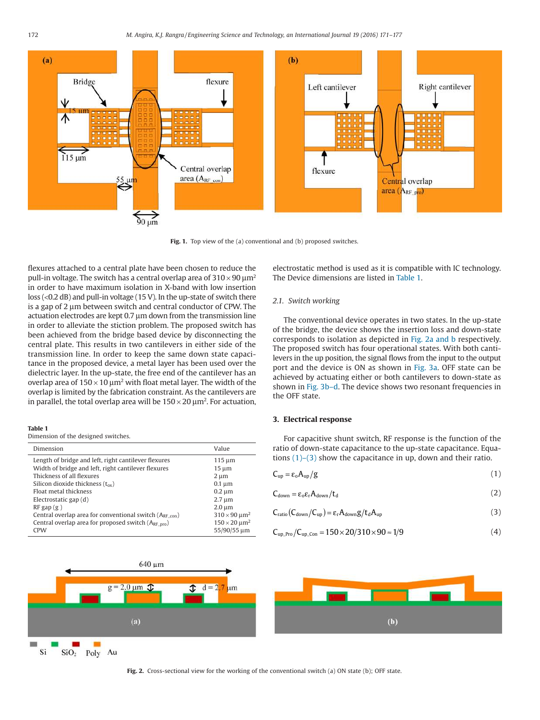

**Fig. 1.** Top view of the (a) conventional and (b) proposed switches.

flexures attached to a central plate have been chosen to reduce the pull-in voltage. The switch has a central overlap area of  $310 \times 90 \,\mathrm{\upmu m^2}$ in order to have maximum isolation in X-band with low insertion loss (<0.2 dB) and pull-in voltage (15 V). In the up-state of switch there is a gap of 2 μm between switch and central conductor of CPW. The actuation electrodes are kept 0.7 μm down from the transmission line in order to alleviate the stiction problem. The proposed switch has been achieved from the bridge based device by disconnecting the central plate. This results in two cantilevers in either side of the transmission line. In order to keep the same down state capacitance in the proposed device, a metal layer has been used over the dielectric layer. In the up-state, the free end of the cantilever has an overlap area of  $150 \times 10 \mu m^2$  with float metal layer. The width of the overlap is limited by the fabrication constraint. As the cantilevers are in parallel, the total overlap area will be  $150 \times 20$   $\mu$ m<sup>2</sup>. For actuation,

#### **Table 1**

Dimension of the designed switches.

| Dimension                                                    | Value                           |
|--------------------------------------------------------------|---------------------------------|
| Length of bridge and left, right cantilever flexures         | 115 µm                          |
| Width of bridge and left, right cantilever flexures          | $15 \mu m$                      |
| Thickness of all flexures                                    | $2 \mu m$                       |
| Silicon dioxide thickness $(t_{ox})$                         | $0.1 \mu m$                     |
| Float metal thickness                                        | $0.2 \mu m$                     |
| Electrostatic gap (d)                                        | $2.7 \mu m$                     |
| $RF$ gap $(g)$                                               | $2.0 \mu m$                     |
| Central overlap area for conventional switch $(A_{RF\ con})$ | $310 \times 90 \mu m^2$         |
| Central overlap area for proposed switch $(A_{RF-nro})$      | $150 \times 20$ um <sup>2</sup> |
| <b>CPW</b>                                                   | 55/90/55 um                     |



electrostatic method is used as it is compatible with IC technology. The Device dimensions are listed in Table 1.

#### *2.1. Switch working*

The conventional device operates in two states. In the up-state of the bridge, the device shows the insertion loss and down-state corresponds to isolation as depicted in Fig. 2a and b respectively. The proposed switch has four operational states. With both cantilevers in the up position, the signal flows from the input to the output port and the device is ON as shown in Fig. 3a. OFF state can be achieved by actuating either or both cantilevers to down-state as shown in Fig. 3b–d. The device shows two resonant frequencies in the OFF state.

#### **3. Electrical response**

For capacitive shunt switch, RF response is the function of the ratio of down-state capacitance to the up-state capacitance. Equations (1)–(3) show the capacitance in up, down and their ratio.

$$
C_{\rm up} = \varepsilon_{\rm o} A_{\rm up}/g \tag{1}
$$

$$
C_{down} = \varepsilon_o \varepsilon_r A_{down} / t_d
$$
 (2)

$$
C_{\text{ratio}}(C_{\text{down}}/C_{\text{up}}) = \varepsilon_{\text{r}} A_{\text{down}} g / t_{\text{d}} A_{\text{up}}
$$
\n(3)

$$
C_{\text{up\_Pro}}/C_{\text{up\_Con}} = 150 \times 20/310 \times 90 \approx 1/9
$$
 (4)



**Fig. 2.** Cross-sectional view for the working of the conventional switch (a) ON state (b); OFF state.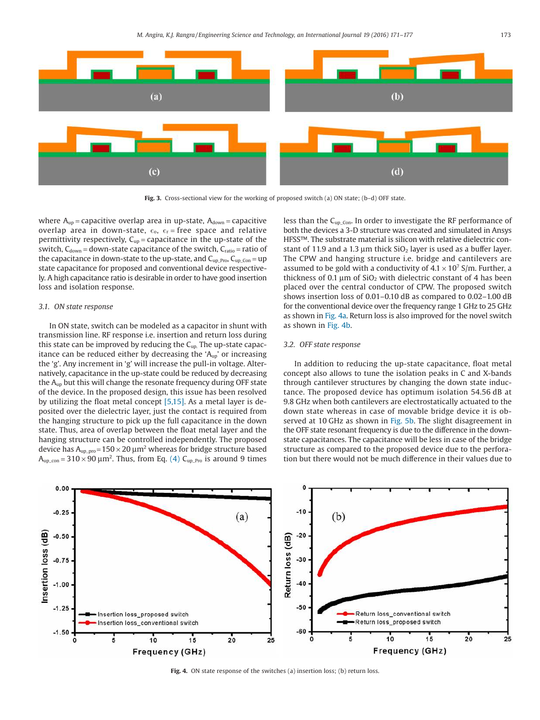

**Fig. 3.** Cross-sectional view for the working of proposed switch (a) ON state; (b–d) OFF state.

where  $A_{up}$  = capacitive overlap area in up-state,  $A_{down}$  = capacitive overlap area in down-state,  $\epsilon_0$ ,  $\epsilon_r$  = free space and relative permittivity respectively,  $C_{up}$  = capacitance in the up-state of the switch,  $C_{down} =$  down-state capacitance of the switch,  $C_{ratio} =$  ratio of the capacitance in down-state to the up-state, and  $C_{\text{up\_Pro}}$ ,  $C_{\text{up\_Con}}$  = up state capacitance for proposed and conventional device respectively. A high capacitance ratio is desirable in order to have good insertion loss and isolation response.

#### *3.1. ON state response*

In ON state, switch can be modeled as a capacitor in shunt with transmission line. RF response i.e. insertion and return loss during this state can be improved by reducing the  $C_{\text{up}}$ . The up-state capacitance can be reduced either by decreasing the ' $A_{up}$ ' or increasing the 'g'. Any increment in 'g' will increase the pull-in voltage. Alternatively, capacitance in the up-state could be reduced by decreasing the  $A_{up}$  but this will change the resonate frequency during OFF state of the device. In the proposed design, this issue has been resolved by utilizing the float metal concept [5,15]. As a metal layer is deposited over the dielectric layer, just the contact is required from the hanging structure to pick up the full capacitance in the down state. Thus, area of overlap between the float metal layer and the hanging structure can be controlled independently. The proposed device has  $A_{up\_pro}$  = 150  $\times$  20  $\mu$ m<sup>2</sup> whereas for bridge structure based  $A_{\text{up\_con}} = 310 \times 90 \,\mu\text{m}^2$ . Thus, from Eq. (4)  $C_{\text{up\_Pro}}$  is around 9 times

less than the C<sub>up\_Con</sub>. In order to investigate the RF performance of both the devices a 3-D structure was created and simulated in Ansys HFSS™. The substrate material is silicon with relative dielectric constant of 11.9 and a 1.3  $\mu$ m thick SiO<sub>2</sub> layer is used as a buffer layer. The CPW and hanging structure i.e. bridge and cantilevers are assumed to be gold with a conductivity of  $4.1 \times 10^7$  S/m. Further, a thickness of 0.1  $\mu$ m of SiO<sub>2</sub> with dielectric constant of 4 has been placed over the central conductor of CPW. The proposed switch shows insertion loss of 0.01–0.10 dB as compared to 0.02–1.00 dB for the conventional device over the frequency range 1 GHz to 25 GHz as shown in Fig. 4a. Return loss is also improved for the novel switch as shown in Fig. 4b.

#### *3.2. OFF state response*

In addition to reducing the up-state capacitance, float metal concept also allows to tune the isolation peaks in C and X-bands through cantilever structures by changing the down state inductance. The proposed device has optimum isolation 54.56 dB at 9.8 GHz when both cantilevers are electrostatically actuated to the down state whereas in case of movable bridge device it is observed at 10 GHz as shown in Fig. 5b. The slight disagreement in the OFF state resonant frequency is due to the difference in the downstate capacitances. The capacitance will be less in case of the bridge structure as compared to the proposed device due to the perforation but there would not be much difference in their values due to



Fig. 4. ON state response of the switches (a) insertion loss; (b) return loss.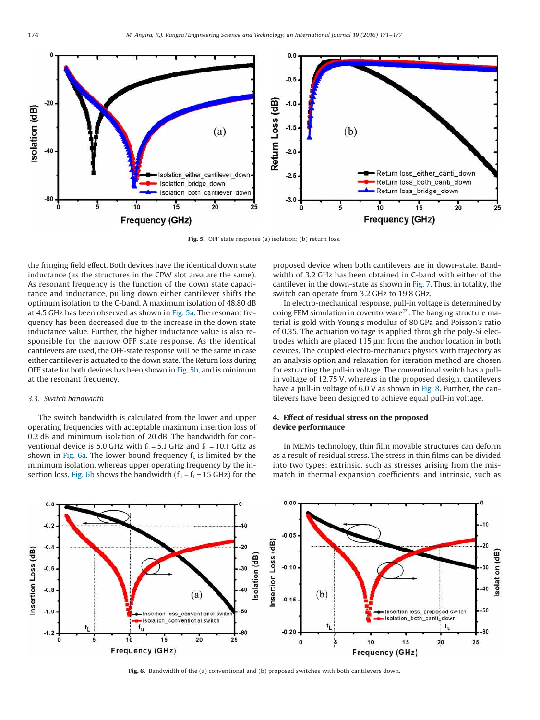

**Fig. 5.** OFF state response (a) isolation; (b) return loss.

the fringing field effect. Both devices have the identical down state inductance (as the structures in the CPW slot area are the same). As resonant frequency is the function of the down state capacitance and inductance, pulling down either cantilever shifts the optimum isolation to the C-band. A maximum isolation of 48.80 dB at 4.5 GHz has been observed as shown in Fig. 5a. The resonant frequency has been decreased due to the increase in the down state inductance value. Further, the higher inductance value is also responsible for the narrow OFF state response. As the identical cantilevers are used, the OFF-state response will be the same in case either cantilever is actuated to the down state. The Return loss during OFF state for both devices has been shown in Fig. 5b, and is minimum at the resonant frequency.

### *3.3. Switch bandwidth*

The switch bandwidth is calculated from the lower and upper operating frequencies with acceptable maximum insertion loss of 0.2 dB and minimum isolation of 20 dB. The bandwidth for conventional device is 5.0 GHz with  $f_L = 5.1$  GHz and  $f_U = 10.1$  GHz as shown in Fig. 6a. The lower bound frequency  $f<sub>L</sub>$  is limited by the minimum isolation, whereas upper operating frequency by the insertion loss. Fig. 6b shows the bandwidth ( $f_U - f_L = 15$  GHz) for the

proposed device when both cantilevers are in down-state. Bandwidth of 3.2 GHz has been obtained in C-band with either of the cantilever in the down-state as shown in Fig. 7. Thus, in totality, the switch can operate from 3.2 GHz to 19.8 GHz.

In electro-mechanical response, pull-in voltage is determined by doing FEM simulation in coventorware<sup> $(R)$ </sup>. The hanging structure material is gold with Young's modulus of 80 GPa and Poisson's ratio of 0.35. The actuation voltage is applied through the poly-Si electrodes which are placed 115 μm from the anchor location in both devices. The coupled electro-mechanics physics with trajectory as an analysis option and relaxation for iteration method are chosen for extracting the pull-in voltage. The conventional switch has a pullin voltage of 12.75 V, whereas in the proposed design, cantilevers have a pull-in voltage of 6.0 V as shown in Fig. 8. Further, the cantilevers have been designed to achieve equal pull-in voltage.

### **4. Effect of residual stress on the proposed device performance**

In MEMS technology, thin film movable structures can deform as a result of residual stress. The stress in thin films can be divided into two types: extrinsic, such as stresses arising from the mismatch in thermal expansion coefficients, and intrinsic, such as



**Fig. 6.** Bandwidth of the (a) conventional and (b) proposed switches with both cantilevers down.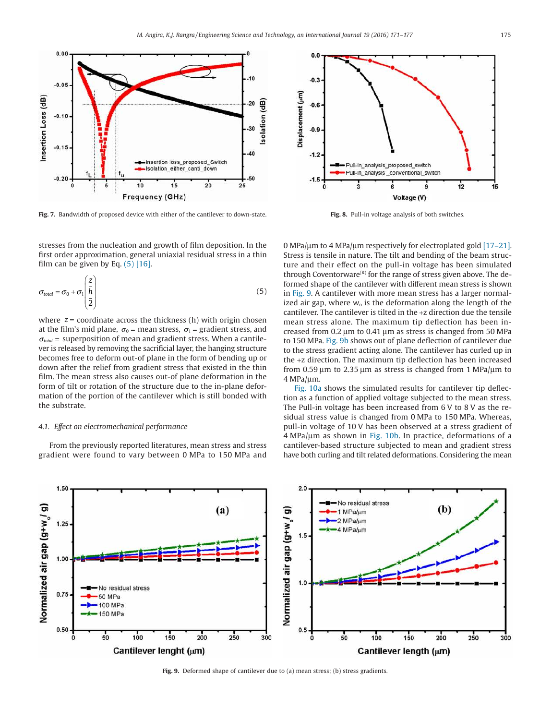

**Fig. 7.** Bandwidth of proposed device with either of the cantilever to down-state.

stresses from the nucleation and growth of film deposition. In the first order approximation, general uniaxial residual stress in a thin film can be given by Eq. (5) [16].

$$
\sigma_{total} = \sigma_0 + \sigma_1 \left( \frac{z}{h} \right) \tag{5}
$$

where  $z =$  coordinate across the thickness (h) with origin chosen at the film's mid plane,  $\sigma_0$  = mean stress,  $\sigma_1$  = gradient stress, and  $\sigma_{total}$  = superposition of mean and gradient stress. When a cantilever is released by removing the sacrificial layer, the hanging structure becomes free to deform out-of plane in the form of bending up or down after the relief from gradient stress that existed in the thin film. The mean stress also causes out-of plane deformation in the form of tilt or rotation of the structure due to the in-plane deformation of the portion of the cantilever which is still bonded with the substrate.

#### *4.1. Effect on electromechanical performance*

From the previously reported literatures, mean stress and stress gradient were found to vary between 0 MPa to 150 MPa and



**Fig. 8.** Pull-in voltage analysis of both switches.

0 MPa/μm to 4 MPa/μm respectively for electroplated gold [17–21]. Stress is tensile in nature. The tilt and bending of the beam structure and their effect on the pull-in voltage has been simulated through Coventorware<sup>(R)</sup> for the range of stress given above. The deformed shape of the cantilever with different mean stress is shown in Fig. 9. A cantilever with more mean stress has a larger normalized air gap, where  $w_0$  is the deformation along the length of the cantilever. The cantilever is tilted in the +z direction due the tensile mean stress alone. The maximum tip deflection has been increased from 0.2 μm to 0.41 μm as stress is changed from 50 MPa to 150 MPa. Fig. 9b shows out of plane deflection of cantilever due to the stress gradient acting alone. The cantilever has curled up in the +z direction. The maximum tip deflection has been increased from 0.59 μm to 2.35 μm as stress is changed from 1 MPa/μm to 4 MPa/μm.

Fig. 10a shows the simulated results for cantilever tip deflection as a function of applied voltage subjected to the mean stress. The Pull-in voltage has been increased from 6 V to 8 V as the residual stress value is changed from 0 MPa to 150 MPa. Whereas, pull-in voltage of 10 V has been observed at a stress gradient of 4 MPa/μm as shown in Fig. 10b. In practice, deformations of a cantilever-based structure subjected to mean and gradient stress have both curling and tilt related deformations. Considering the mean



**Fig. 9.** Deformed shape of cantilever due to (a) mean stress; (b) stress gradients.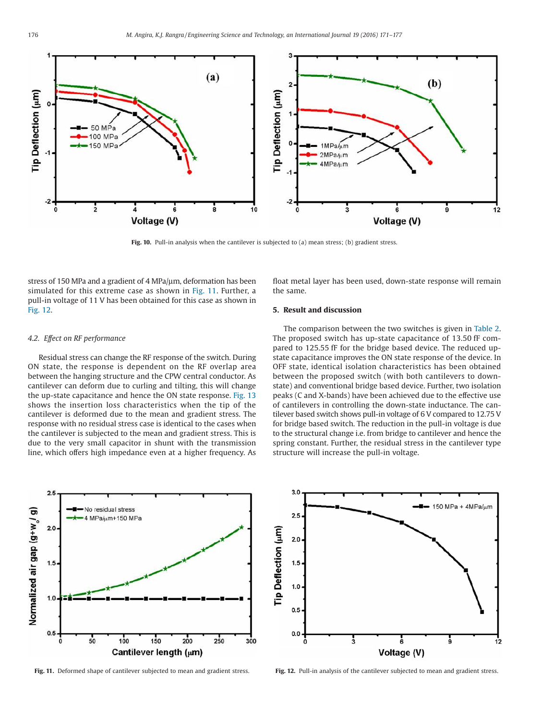

**Fig. 10.** Pull-in analysis when the cantilever is subjected to (a) mean stress; (b) gradient stress.

stress of 150 MPa and a gradient of 4 MPa/μm, deformation has been simulated for this extreme case as shown in Fig. 11. Further, a pull-in voltage of 11 V has been obtained for this case as shown in Fig. 12.

float metal layer has been used, down-state response will remain the same.

# **5. Result and discussion**

## *4.2. Effect on RF performance*

Residual stress can change the RF response of the switch. During ON state, the response is dependent on the RF overlap area between the hanging structure and the CPW central conductor. As cantilever can deform due to curling and tilting, this will change the up-state capacitance and hence the ON state response. Fig. 13 shows the insertion loss characteristics when the tip of the cantilever is deformed due to the mean and gradient stress. The response with no residual stress case is identical to the cases when the cantilever is subjected to the mean and gradient stress. This is due to the very small capacitor in shunt with the transmission line, which offers high impedance even at a higher frequency. As

The comparison between the two switches is given in Table 2. The proposed switch has up-state capacitance of 13.50 fF compared to 125.55 fF for the bridge based device. The reduced upstate capacitance improves the ON state response of the device. In OFF state, identical isolation characteristics has been obtained between the proposed switch (with both cantilevers to downstate) and conventional bridge based device. Further, two isolation peaks (C and X-bands) have been achieved due to the effective use of cantilevers in controlling the down-state inductance. The cantilever based switch shows pull-in voltage of 6 V compared to 12.75 V for bridge based switch. The reduction in the pull-in voltage is due to the structural change i.e. from bridge to cantilever and hence the spring constant. Further, the residual stress in the cantilever type structure will increase the pull-in voltage.





**Fig. 11.** Deformed shape of cantilever subjected to mean and gradient stress. **Fig. 12.** Pull-in analysis of the cantilever subjected to mean and gradient stress.